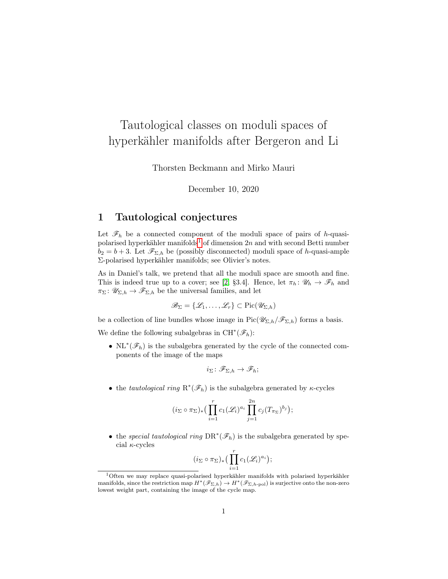# Tautological classes on moduli spaces of hyperkähler manifolds after Bergeron and Li

Thorsten Beckmann and Mirko Mauri

December 10, 2020

### <span id="page-0-1"></span>1 Tautological conjectures

Let  $\mathscr{F}_h$  be a connected component of the moduli space of pairs of h-quasi-polarised hyperkähler manifolds<sup>[1](#page-0-0)</sup> of dimension  $2n$  and with second Betti number  $b_2 = b + 3$ . Let  $\mathscr{F}_{\Sigma,h}$  be (possibly disconnected) moduli space of h-quasi-ample Σ-polarised hyperkähler manifolds; see Olivier's notes.

As in Daniel's talk, we pretend that all the moduli space are smooth and fine. This is indeed true up to a cover; see [\[2,](#page-11-0) §3.4]. Hence, let  $\pi_h: \mathscr{U}_h \to \mathscr{F}_h$  and  $\pi_{\Sigma} \colon \mathscr{U}_{\Sigma,h} \to \mathscr{F}_{\Sigma,h}$  be the universal families, and let

$$
\mathscr{B}_{\Sigma} = \{\mathscr{L}_1, \ldots, \mathscr{L}_r\} \subset \mathrm{Pic}(\mathscr{U}_{\Sigma,h})
$$

be a collection of line bundles whose image in  $Pic(\mathscr{U}_{\Sigma,h}/\mathscr{F}_{\Sigma,h})$  forms a basis.

We define the following subalgebras in  $\mathrm{CH}^*(\mathscr{F}_h)$ :

• NL<sup>\*</sup>( $\mathscr{F}_h$ ) is the subalgebra generated by the cycle of the connected components of the image of the maps

$$
i_{\Sigma} \colon \mathscr{F}_{\Sigma,h} \to \mathscr{F}_h;
$$

• the tautological ring  $R^*(\mathcal{F}_h)$  is the subalgebra generated by  $\kappa$ -cycles

$$
(i_{\Sigma} \circ \pi_{\Sigma})_* \big( \prod_{i=1}^r c_1(\mathscr{L}_i)^{a_i} \prod_{j=1}^{2n} c_j (T_{\pi_{\Sigma}})^{b_j} \big);
$$

• the special tautological ring  $DR^*(\mathscr{F}_h)$  is the subalgebra generated by special  $\kappa$ -cycles

$$
(i_{\Sigma} \circ \pi_{\Sigma})_{*} \big( \prod_{i=1}^{r} c_{1}(\mathscr{L}_{i})^{a_{i}} \big);
$$

<span id="page-0-0"></span><sup>&</sup>lt;sup>1</sup>Often we may replace quasi-polarised hyperkähler manifolds with polarised hyperkähler manifolds, since the restriction map  $H^*(\mathscr{F}_{\Sigma,h}) \to H^*(\mathscr{F}_{\Sigma,h\text{-pol}})$  is surjective onto the non-zero lowest weight part, containing the image of the cycle map.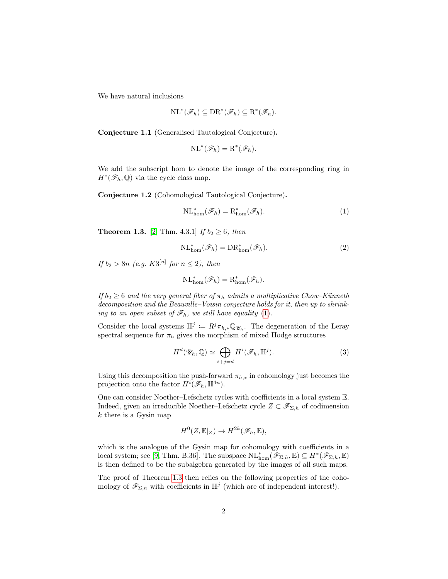We have natural inclusions

$$
\mathrm{NL}^*(\mathscr{F}_h) \subseteq \mathrm{DR}^*(\mathscr{F}_h) \subseteq \mathrm{R}^*(\mathscr{F}_h).
$$

Conjecture 1.1 (Generalised Tautological Conjecture).

$$
\mathrm{NL}^*(\mathscr{F}_h) = \mathrm{R}^*(\mathscr{F}_h).
$$

We add the subscript hom to denote the image of the corresponding ring in  $H^*(\mathscr{F}_h,\mathbb{Q})$  via the cycle class map.

Conjecture 1.2 (Cohomological Tautological Conjecture).

<span id="page-1-0"></span>
$$
\mathrm{NL}^*_{\mathrm{hom}}(\mathscr{F}_h) = \mathrm{R}^*_{\mathrm{hom}}(\mathscr{F}_h). \tag{1}
$$

<span id="page-1-1"></span>**Theorem 1.3.** [\[2,](#page-11-0) Thm. 4.3.1] If  $b_2 \ge 6$ , then

<span id="page-1-4"></span>
$$
\mathrm{NL}_{\mathrm{hom}}^*(\mathscr{F}_h) = \mathrm{DR}_{\mathrm{hom}}^*(\mathscr{F}_h). \tag{2}
$$

If  $b_2 > 8n$  (e.g.  $K3^{[n]}$  for  $n \le 2$ ), then

$$
\mathrm{NL}^*_{\mathrm{hom}}(\mathscr{F}_h)=\mathrm{R}^*_{\mathrm{hom}}(\mathscr{F}_h).
$$

If  $b_2 \geq 6$  and the very general fiber of  $\pi_h$  admits a multiplicative Chow–Künneth decomposition and the Beauville–Voisin conjecture holds for it, then up to shrinking to an open subset of  $\mathscr{F}_h$ , we still have equality [\(1\)](#page-1-0).

Consider the local systems  $\mathbb{H}^j := R^j \pi_{h,*} \mathbb{Q}_{\mathscr{U}_h}$ . The degeneration of the Leray spectral sequence for  $\pi_h$  gives the morphism of mixed Hodge structures

<span id="page-1-3"></span>
$$
H^{d}(\mathscr{U}_h, \mathbb{Q}) \simeq \bigoplus_{i+j=d} H^{i}(\mathscr{F}_h, \mathbb{H}^j).
$$
 (3)

Using this decomposition the push-forward  $\pi_{h,*}$  in cohomology just becomes the projection onto the factor  $H^{i}(\mathscr{F}_h, \mathbb{H}^{4n})$ .

One can consider Noether–Lefschetz cycles with coefficients in a local system E. Indeed, given an irreducible Noether–Lefschetz cycle  $Z \subset \mathscr{F}_{\Sigma,h}$  of codimension  $k$  there is a Gysin map

$$
H^0(Z, \mathbb{E}|_Z) \to H^{2k}(\mathscr{F}_h, \mathbb{E}),
$$

which is the analogue of the Gysin map for cohomology with coefficients in a local system; see [\[9,](#page-11-1) Thm. B.36]. The subspace  $\mathrm{NL}^*_{\text{hom}}(\mathscr{F}_{\Sigma,h}, \mathbb{E}) \subseteq H^*(\mathscr{F}_{\Sigma,h}, \mathbb{E})$ is then defined to be the subalgebra generated by the images of all such maps.

<span id="page-1-2"></span>The proof of Theorem [1.3](#page-1-1) then relies on the following properties of the cohomology of  $\mathscr{F}_{\Sigma,h}$  with coefficients in  $\mathbb{H}^j$  (which are of independent interest!).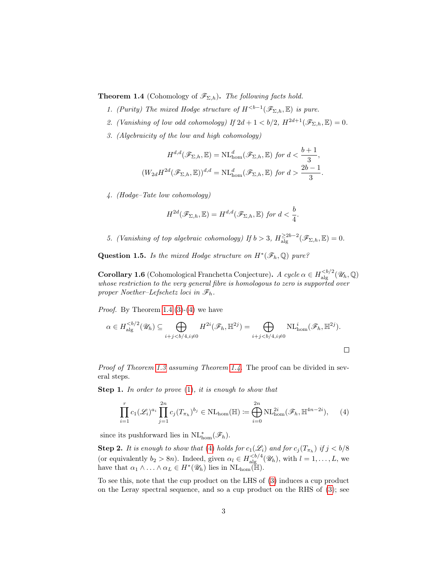<span id="page-2-4"></span>**Theorem 1.4** (Cohomology of  $\mathscr{F}_{\Sigma,h}$ ). The following facts hold.

- 1. (Purity) The mixed Hodge structure of  $H^{ is pure.$
- <span id="page-2-3"></span>2. (Vanishing of low odd cohomology) If  $2d + 1 < b/2$ ,  $H^{2d+1}(\mathscr{F}_{\Sigma,h}, \mathbb{E}) = 0$ .
- <span id="page-2-0"></span>3. (Algebraicity of the low and high cohomology)

$$
H^{d,d}(\mathscr{F}_{\Sigma,h}, \mathbb{E}) = \mathrm{NL}_{\mathrm{hom}}^d(\mathscr{F}_{\Sigma,h}, \mathbb{E}) \text{ for } d < \frac{b+1}{3},
$$
  

$$
(W_{2d}H^{2d}(\mathscr{F}_{\Sigma,h}, \mathbb{E}))^{d,d} = \mathrm{NL}_{\mathrm{hom}}^d(\mathscr{F}_{\Sigma,h}, \mathbb{E}) \text{ for } d > \frac{2b-1}{3}.
$$

<span id="page-2-1"></span>4. (Hodge–Tate low cohomology)

$$
H^{2d}(\mathscr{F}_{\Sigma,h},\mathbb{E})=H^{d,d}(\mathscr{F}_{\Sigma,h},\mathbb{E}) \text{ for } d<\frac{b}{4}.
$$

<span id="page-2-5"></span>5. (Vanishing of top algebraic cohomology) If  $b > 3$ ,  $H \ge 2b-2 \rightarrow (\mathscr{F}_{\Sigma,h}, \mathbb{E}) = 0$ .

Question 1.5. Is the mixed Hodge structure on  $H^*(\mathscr{F}_h,\mathbb{Q})$  pure?

**Corollary 1.6** (Cohomological Franchetta Conjecture). A cycle  $\alpha \in H_{\text{alg}}^{$ whose restriction to the very general fibre is homologous to zero is supported over proper Noether–Lefschetz loci in  $\mathscr{F}_h$ .

*Proof.* By Theorem [1.4.](#page-1-2)[\(3\)](#page-2-0)-[\(4\)](#page-2-1) we have

$$
\alpha \in H_{\mathrm{alg}}^{
$$

Proof of Theorem [1.3](#page-1-1) assuming Theorem [1.4.](#page-1-2) The proof can be divided in several steps.

Step 1. In order to prove  $(1)$ , it is enough to show that

<span id="page-2-2"></span>
$$
\prod_{i=1}^r c_1(\mathscr{L}_i)^{a_i} \prod_{j=1}^{2n} c_j(T_{\pi_h})^{b_j} \in \text{NL}_{\text{hom}}(\mathbb{H}) \coloneqq \bigoplus_{i=0}^{2n} \text{NL}_{\text{hom}}^{2i}(\mathscr{F}_h, \mathbb{H}^{4n-2i}), \qquad (4)
$$

since its pushforward lies in  $\mathrm{NL}^*_{\text{hom}}(\mathscr{F}_h)$ .

**Step 2.** It is enough to show that [\(4\)](#page-2-2) holds for  $c_1(\mathscr{L}_i)$  and for  $c_j(T_{\pi_h})$  if  $j < b/8$ (or equivalently  $b_2 > 8n$ ). Indeed, given  $\alpha_l \in H_{\text{alg}}^{**, with  $l = 1, ..., L$ , we**$ have that  $\alpha_1 \wedge \ldots \wedge \alpha_L \in H^*(\mathscr{U}_h)$  lies in  $\mathrm{NL}_{\text{hom}}(\mathbb{H})$ .

To see this, note that the cup product on the LHS of [\(3\)](#page-1-3) induces a cup product on the Leray spectral sequence, and so a cup product on the RHS of [\(3\)](#page-1-3); see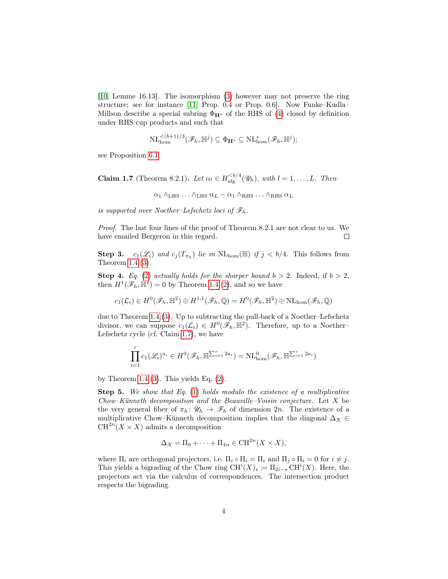[\[10,](#page-11-2) Lemme 16.13]. The isomorphism [\(3\)](#page-1-3) however may not preserve the ring structure; see for instance [\[11,](#page-11-3) Prop. 0.4 or Prop. 0.6]. Now Funke–Kudla– Millson describe a special subring  $\Phi_{H^*}$  of the RHS of [\(4\)](#page-2-2) closed by definition under RHS cup products and such that

$$
\mathrm{NL}_{\mathrm{hom}}^{<(b+1)/3}(\mathscr{F}_h, \mathbb{H}^j) \subseteq \Phi_{\mathbf{H}^*} \subseteq \mathrm{NL}_{\mathrm{hom}}^*(\mathscr{F}_h, \mathbb{H}^j);
$$

<span id="page-3-0"></span>see Proposition [6.1.](#page-10-0)

**Claim 1.7** (Theorem 8.2.1). Let  $\alpha_l \in H_{\text{alg}}^{**, with  $l = 1, ..., L$ . Then**$ 

 $\alpha_1 \wedge_{LHS} \ldots \wedge_{LHS} \alpha_L - \alpha_1 \wedge_{RHS} \ldots \wedge_{RHS} \alpha_L$ 

is supported over Noether–Lefschetz loci of  $\mathscr{F}_h$ .

Proof. The last four lines of the proof of Theorem 8.2.1 are not clear to us. We have emailed Bergeron in this regard.  $\Box$ 

**Step 3.**  $c_1(\mathscr{L}_i)$  and  $c_j(T_{\pi_h})$  lie in  $NL_{\text{hom}}(\mathbb{H})$  if  $j < b/4$ . This follows from Theorem [1.4.](#page-1-2)[\(3\)](#page-2-0).

**Step 4.** Eq. [\(2\)](#page-1-4) actually holds for the sharper bound  $b > 2$ . Indeed, if  $b > 2$ , then  $H^1(\mathscr{F}_h, \mathbb{H}^1) = 0$  by Theorem [1.4.](#page-1-2)[\(2\)](#page-2-3), and so we have

$$
c_1(\mathcal{L}_i) \in H^0(\mathscr{F}_h, \mathbb{H}^2) \oplus H^{1,1}(\mathscr{F}_h, \mathbb{Q}) = H^0(\mathscr{F}_h, \mathbb{H}^2) \oplus \text{NL}_{\text{hom}}(\mathscr{F}_h, \mathbb{Q})
$$

due to Theorem [1.4.](#page-1-2)[\(3\)](#page-2-0). Up to subtracting the pull-back of a Noether–Lefschetz divisor, we can suppose  $c_1(\mathcal{L}_i) \in H^0(\mathscr{F}_h, \mathbb{H}^2)$ . Therefore, up to a Noether-Lefschetz cycle (cf. Claim [1.7\)](#page-3-0), we have

$$
\prod_{i=1}^r c_1(\mathcal{L}_i)^{a_i} \in H^0(\mathcal{F}_h, \mathbb{H}^{\sum_{i=1}^r 2a_i}) = \text{NL}_{\text{hom}}^0(\mathcal{F}_h, \mathbb{H}^{\sum_{i=1}^r 2a_i})
$$

by Theorem [1.4.](#page-1-2)[\(3\)](#page-2-0). This yields Eq.  $(2)$ .

**Step 5.** We show that Eq.  $(1)$  holds modulo the existence of a multiplicative  $Chow-Künneth$  decomposition and the Beauville–Voisin conjecture. Let  $X$  be the very general fiber of  $\pi_h: \mathscr{U}_h \to \mathscr{F}_h$  of dimension 2n. The existence of a multiplicative Chow–Künneth decomposition implies that the diagonal  $\Delta_X$  ∈  $CH^{2n}(X \times X)$  admits a decomposition

$$
\Delta_X = \Pi_0 + \dots + \Pi_{4n} \in \mathrm{CH}^{2n}(X \times X),
$$

where  $\Pi_i$  are orthogonal projectors, i.e.  $\Pi_i \circ \Pi_i = \Pi_i$  and  $\Pi_i \circ \Pi_i = 0$  for  $i \neq j$ . This yields a bigrading of the Chow ring  $\mathrm{CH}^i(X)_s := \Pi_{2i-s} \mathrm{CH}^i(X)$ . Here, the projectors act via the calculus of correspondences. The intersection product respects the bigrading.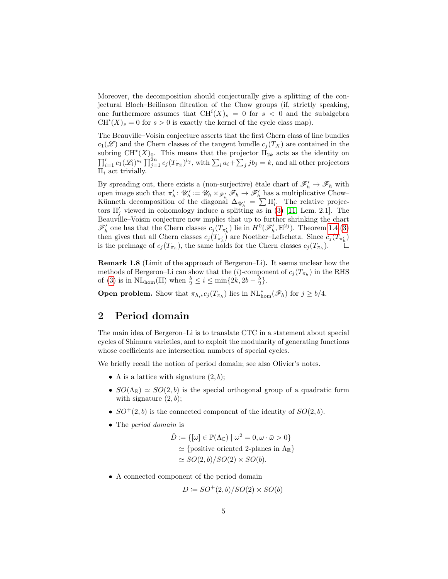Moreover, the decomposition should conjecturally give a splitting of the conjectural Bloch–Beilinson filtration of the Chow groups (if, strictly speaking, one furthermore assumes that  $\mathrm{CH}^i(X)_{s} = 0$  for  $s < 0$  and the subalgebra  $CH<sup>i</sup>(X)<sub>s</sub> = 0$  for  $s > 0$  is exactly the kernel of the cycle class map).

The Beauville–Voisin conjecture asserts that the first Chern class of line bundles  $c_1(\mathscr{L})$  and the Chern classes of the tangent bundle  $c_i(T_X)$  are contained in the subring  $CH^{*}(X)_{0}$ . This means that the projector  $\overline{\Pi}_{2k}$  acts as the identity on  $\prod_{i=1}^r c_1(\mathscr{L}_i)^{a_i} \prod_{j=1}^{2n} c_j(T_{\pi_{\Sigma}})^{b_j}$ , with  $\sum_i a_i + \sum_j j b_j = k$ , and all other projectors  $\Pi_i$  act trivially.

By spreading out, there exists a (non-surjective) étale chart of  $\mathscr{F}'_h \to \mathscr{F}_h$  with open image such that  $\pi'_h: \mathscr{U}'_h := \mathscr{U}_h \times_{\mathscr{F}'_h} \mathscr{F}_h \to \mathscr{F}'_h$  has a multiplicative Chow-Künneth decomposition of the diagonal  $\Delta_{\mathscr{U}'_h} = \sum \Pi'_i$ . The relative projectors  $\Pi'_{j}$  viewed in cohomology induce a splitting as in [\(3\)](#page-1-3) [\[11,](#page-11-3) Lem. 2.1]. The Beauville–Voisin conjecture now implies that up to further shrinking the chart  $\mathscr{F}'_h$  one has that the Chern classes  $c_j(T_{\pi'_h})$  lie in  $H^0(\mathscr{F}'_h, \mathbb{H}^{2j})$ . Theorem [1.4.](#page-1-2)[\(3\)](#page-2-0) then gives that all Chern classes  $c_j(T_{\pi'_h})$  are Noether–Lefschetz. Since  $c_j(T_{\pi'_h})$ is the preimage of  $c_j(T_{\pi_h})$ , the same holds for the Chern classes  $c_j(T_{\pi_h})$ .

Remark 1.8 (Limit of the approach of Bergeron–Li). It seems unclear how the methods of Bergeron–Li can show that the  $(i)$ -component of  $c_j(T_{\pi_h})$  in the RHS of [\(3\)](#page-1-3) is in  $\text{NL}_{\text{hom}}(\mathbb{H})$  when  $\frac{b}{2} \leq i \leq \min\{2k, 2b - \frac{b}{2}\}.$ 

**Open problem.** Show that  $\pi_{h,*} c_j(T_{\pi_h})$  lies in  $NL^*_{\text{hom}}(\mathscr{F}_h)$  for  $j \geq b/4$ .

#### 2 Period domain

The main idea of Bergeron–Li is to translate CTC in a statement about special cycles of Shimura varieties, and to exploit the modularity of generating functions whose coefficients are intersection numbers of special cycles.

We briefly recall the notion of period domain; see also Olivier's notes.

- $\Lambda$  is a lattice with signature  $(2, b)$ ;
- $SO(\Lambda_{\mathbb{R}}) \simeq SO(2, b)$  is the special orthogonal group of a quadratic form with signature  $(2, b)$ ;
- $SO^+(2, b)$  is the connected component of the identity of  $SO(2, b)$ .
- The *period* domain is

$$
\hat{D} := \{ [\omega] \in \mathbb{P}(\Lambda_{\mathbb{C}}) \mid \omega^2 = 0, \omega \cdot \bar{\omega} > 0 \}
$$
  
\n
$$
\simeq \{ \text{positive oriented 2-planes in } \Lambda_{\mathbb{R}} \}
$$
  
\n
$$
\simeq SO(2, b)/SO(2) \times SO(b).
$$

• A connected component of the period domain

$$
D \coloneqq SO^+(2,b)/SO(2) \times SO(b)
$$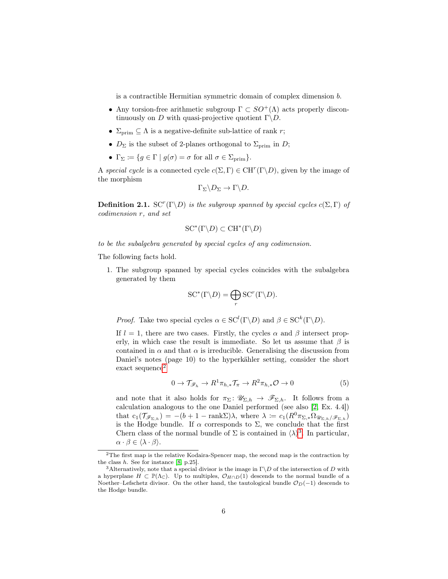is a contractible Hermitian symmetric domain of complex dimension b.

- Any torsion-free arithmetic subgroup  $\Gamma \subset SO^+(\Lambda)$  acts properly discontinuously on D with quasi-projective quotient  $\Gamma \backslash D$ .
- $\Sigma_{\text{prim}} \subseteq \Lambda$  is a negative-definite sub-lattice of rank r;
- $D_{\Sigma}$  is the subset of 2-planes orthogonal to  $\Sigma_{\text{prim}}$  in D;
- $\Gamma_{\Sigma} \coloneqq \{ g \in \Gamma \mid g(\sigma) = \sigma \text{ for all } \sigma \in \Sigma_{\text{prim}} \}.$

A special cycle is a connected cycle  $c(\Sigma, \Gamma) \in \mathrm{CH}^{r}(\Gamma \backslash D)$ , given by the image of the morphism

$$
\Gamma_{\Sigma}\backslash D_{\Sigma}\to \Gamma\backslash D.
$$

**Definition 2.1.** SC<sup>r</sup>( $\Gamma \setminus D$ ) is the subgroup spanned by special cycles  $c(\Sigma, \Gamma)$  of codimension r, and set

$$
SC^*(\Gamma \backslash D) \subset CH^*(\Gamma \backslash D)
$$

to be the subalgebra generated by special cycles of any codimension.

The following facts hold.

1. The subgroup spanned by special cycles coincides with the subalgebra generated by them

$$
SC^*(\Gamma \backslash D) = \bigoplus_r SC^r(\Gamma \backslash D).
$$

*Proof.* Take two special cycles  $\alpha \in \mathrm{SC}^l(\Gamma \backslash D)$  and  $\beta \in \mathrm{SC}^k(\Gamma \backslash D)$ .

If  $l = 1$ , there are two cases. Firstly, the cycles  $\alpha$  and  $\beta$  intersect properly, in which case the result is immediate. So let us assume that  $\beta$  is contained in  $\alpha$  and that  $\alpha$  is irreducible. Generalising the discussion from Daniel's notes (page 10) to the hyperkähler setting, consider the short exact sequence<sup>[2](#page-5-0)</sup>

<span id="page-5-2"></span>
$$
0 \to \mathcal{T}_{\mathscr{F}_h} \to R^1 \pi_{h,*} \mathcal{T}_{\pi} \to R^2 \pi_{h,*} \mathcal{O} \to 0
$$
 (5)

and note that it also holds for  $\pi_{\Sigma} \colon \mathscr{U}_{\Sigma,h} \to \mathscr{F}_{\Sigma,h}$ . It follows from a calculation analogous to the one Daniel performed (see also [\[2,](#page-11-0) Ex. 4.4]) that  $c_1(\mathcal{T}_{\mathcal{F}_{\Sigma,h}}) = -(b+1-\text{rank}\Sigma)\lambda$ , where  $\lambda \coloneqq c_1(R^0\pi_{\Sigma,*}\Omega_{\mathscr{U}_{\Sigma,h}}/\mathscr{F}_{\Sigma,h})$ is the Hodge bundle. If  $\alpha$  corresponds to  $\Sigma$ , we conclude that the first Chern class of the normal bundle of  $\Sigma$  is contained in  $\langle \lambda \rangle^3$  $\langle \lambda \rangle^3$ . In particular,  $\alpha \cdot \beta \in \langle \lambda \cdot \beta \rangle$ .

<span id="page-5-0"></span> $2$ The first map is the relative Kodaira-Spencer map, the second map is the contraction by the class  $h$ . See for instance [\[8,](#page-11-4) p.25].

<span id="page-5-1"></span><sup>&</sup>lt;sup>3</sup>Alternatively, note that a special divisor is the image in  $\Gamma \backslash D$  of the intersection of D with a hyperplane  $H \subset \mathbb{P}(\Lambda_{\mathbb{C}})$ . Up to multiples,  $\mathcal{O}_{H\cap D}(1)$  descends to the normal bundle of a Noether–Lefschetz divisor. On the other hand, the tautological bundle  $\mathcal{O}_D(-1)$  descends to the Hodge bundle.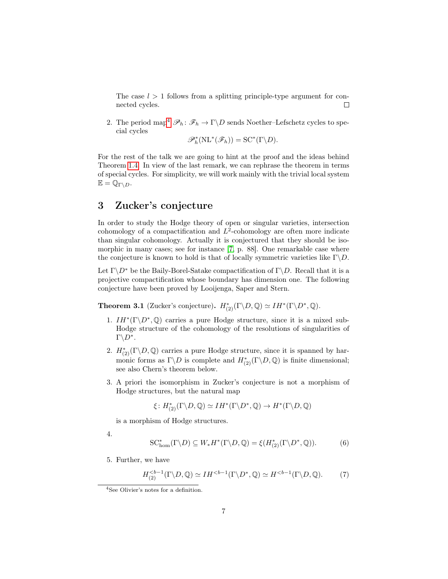The case  $l > 1$  follows from a splitting principle-type argument for connected cycles.  $\Box$ 

2. The period map<sup>[4](#page-6-0)</sup>  $\mathscr{P}_h : \mathscr{F}_h \to \Gamma \backslash D$  sends Noether–Lefschetz cycles to special cycles

 $\mathscr{P}_{h}^{*}(\textrm{NL}^{*}(\mathscr{F}_{h})) = \textrm{SC}^{*}(\Gamma\backslash D).$ 

For the rest of the talk we are going to hint at the proof and the ideas behind Theorem [1.4.](#page-1-2) In view of the last remark, we can rephrase the theorem in terms of special cycles. For simplicity, we will work mainly with the trivial local system  $\mathbb{E} = \mathbb{Q}_{\Gamma \backslash D}$ .

## 3 Zucker's conjecture

In order to study the Hodge theory of open or singular varieties, intersection cohomology of a compactification and  $L^2$ -cohomology are often more indicate than singular cohomology. Actually it is conjectured that they should be isomorphic in many cases; see for instance [\[7,](#page-11-5) p. 88]. One remarkable case where the conjecture is known to hold is that of locally symmetric varieties like  $\Gamma \backslash D$ .

Let  $\Gamma \backslash D^*$  be the Baily-Borel-Satake compactification of  $\Gamma \backslash D$ . Recall that it is a projective compactification whose boundary has dimension one. The following conjecture have been proved by Looijenga, Saper and Stern.

**Theorem 3.1** (Zucker's conjecture).  $H_{(2)}^*(\Gamma \backslash D, \mathbb{Q}) \simeq IH^*(\Gamma \backslash D^*, \mathbb{Q})$ .

- 1.  $IH^*(\Gamma \backslash D^*,\mathbb{Q})$  carries a pure Hodge structure, since it is a mixed sub-Hodge structure of the cohomology of the resolutions of singularities of  $\Gamma \backslash D^*$ .
- 2.  $H^*_{(2)}(\Gamma \backslash D, \mathbb{Q})$  carries a pure Hodge structure, since it is spanned by harmonic forms as  $\Gamma \backslash D$  is complete and  $H^*_{(2)}(\Gamma \backslash D, \mathbb{Q})$  is finite dimensional; see also Chern's theorem below.
- 3. A priori the isomorphism in Zucker's conjecture is not a morphism of Hodge structures, but the natural map

$$
\xi\colon H^*_{(2)}(\Gamma\backslash D,\mathbb{Q})\simeq IH^*(\Gamma\backslash D^*,\mathbb{Q})\to H^*(\Gamma\backslash D,\mathbb{Q})
$$

is a morphism of Hodge structures.

4.

<span id="page-6-1"></span>
$$
SC_{\text{hom}}^*(\Gamma \backslash D) \subseteq W_* H^*(\Gamma \backslash D, \mathbb{Q}) = \xi(H_{(2)}^*(\Gamma \backslash D^*, \mathbb{Q})).\tag{6}
$$

5. Further, we have

$$
H_{(2)}^{
$$

<span id="page-6-0"></span><sup>4</sup>See Olivier's notes for a definition.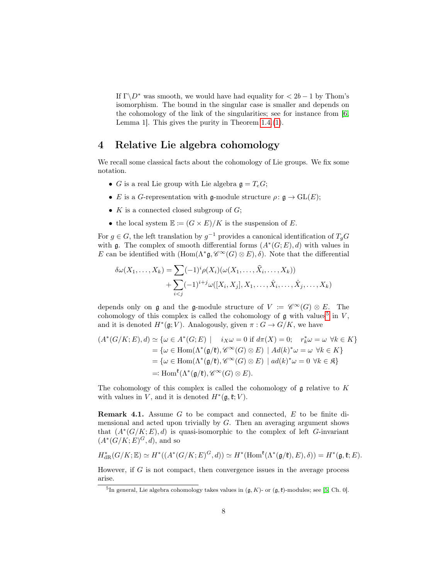If  $\Gamma \backslash D^*$  was smooth, we would have had equality for  $\langle 2b-1 \rangle$  by Thom's isomorphism. The bound in the singular case is smaller and depends on the cohomology of the link of the singularities; see for instance from [\[6,](#page-11-6) Lemma 1]. This gives the purity in Theorem [1.4.](#page-1-2)[\(1\)](#page-2-4).

#### 4 Relative Lie algebra cohomology

We recall some classical facts about the cohomology of Lie groups. We fix some notation.

- G is a real Lie group with Lie algebra  $\mathfrak{g} = T_e G$ ;
- E is a G-representation with g-module structure  $\rho: \mathfrak{g} \to \mathrm{GL}(E);$
- K is a connected closed subgroup of  $G$ ;
- the local system  $\mathbb{E} \coloneqq (G \times E)/K$  is the suspension of E.

For  $g \in G$ , the left translation by  $g^{-1}$  provides a canonical identification of  $T_gG$ with g. The complex of smooth differential forms  $(A^*(G; E), d)$  with values in E can be identified with  $(\text{Hom}(\Lambda^*\mathfrak{g}, \mathscr{C}^\infty(G)\otimes E), \delta)$ . Note that the differential

$$
\delta\omega(X_1,\ldots,X_k) = \sum_{i  
+ 
$$
\sum_{i
$$
$$

depends only on  $\mathfrak g$  and the  $\mathfrak g$ -module structure of  $V := \mathscr{C}^\infty(G) \otimes E$ . The cohomology of this complex is called the cohomology of  $\mathfrak g$  with values<sup>[5](#page-7-0)</sup> in V, and it is denoted  $H^*(\mathfrak{g}; V)$ . Analogously, given  $\pi: G \to G/K$ , we have

$$
(A^*(G/K; E), d) \simeq \{ \omega \in A^*(G; E) \mid i_X \omega = 0 \text{ if } d\pi(X) = 0; \quad r_k^* \omega = \omega \ \forall k \in K \}
$$
  
=  $\{ \omega \in \text{Hom}(\Lambda^*(\mathfrak{g}/\mathfrak{k}), \mathscr{C}^{\infty}(G) \otimes E) \mid Ad(k)^* \omega = \omega \ \forall k \in K \}$   
=  $\{ \omega \in \text{Hom}(\Lambda^*(\mathfrak{g}/\mathfrak{k}), \mathscr{C}^{\infty}(G) \otimes E) \mid ad(k)^* \omega = 0 \ \forall k \in \mathfrak{K} \}$   
=: Hom <sup>$\mathfrak{k}(\Lambda^*(\mathfrak{g}/\mathfrak{k}), \mathscr{C}^{\infty}(G) \otimes E).$</sup> 

The cohomology of this complex is called the cohomology of  $\mathfrak g$  relative to K with values in V, and it is denoted  $H^*(\mathfrak{g}, \mathfrak{k}; V)$ .

**Remark 4.1.** Assume  $G$  to be compact and connected,  $E$  to be finite dimensional and acted upon trivially by  $G$ . Then an averaging argument shows that  $(A^*(G/K; E), d)$  is quasi-isomorphic to the complex of left G-invariant  $(A^*(G/K;E)^G,d)$ , and so

$$
H^*_{\mathrm{dR}}(G/K;\mathbb{E})\simeq H^*((A^*(G/K;E)^G,d))\simeq H^*(\mathrm{Hom}^{\mathfrak{k}}(\Lambda^*(\mathfrak{g}/\mathfrak{k}),E),\delta))=H^*(\mathfrak{g},\mathfrak{k};E).
$$

However, if  $G$  is not compact, then convergence issues in the average process arise.

<span id="page-7-0"></span><sup>&</sup>lt;sup>5</sup>In general, Lie algebra cohomology takes values in  $(\mathfrak{g}, K)$ - or  $(\mathfrak{g}, \mathfrak{k})$ -modules; see [\[5,](#page-11-7) Ch. 0].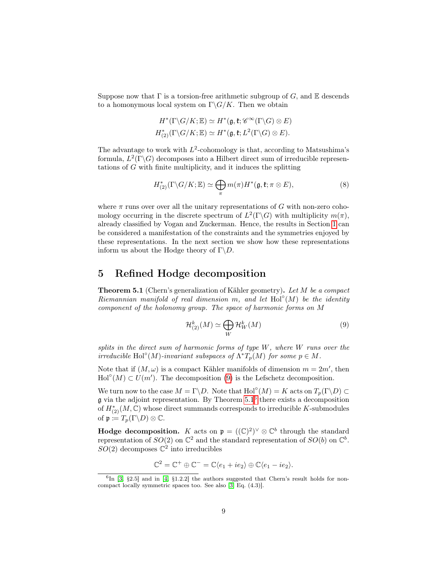Suppose now that  $\Gamma$  is a torsion-free arithmetic subgroup of G, and  $\mathbb E$  descends to a homonymous local system on  $\Gamma \backslash G/K$ . Then we obtain

$$
H^*(\Gamma \backslash G/K; \mathbb{E}) \simeq H^*(\mathfrak{g}, \mathfrak{k}; \mathscr{C}^\infty(\Gamma \backslash G) \otimes E)
$$
  

$$
H^*_{(2)}(\Gamma \backslash G/K; \mathbb{E}) \simeq H^*(\mathfrak{g}, \mathfrak{k}; L^2(\Gamma \backslash G) \otimes E).
$$

The advantage to work with  $L^2$ -cohomology is that, according to Matsushima's formula,  $L^2(\Gamma \backslash G)$  decomposes into a Hilbert direct sum of irreducible representations of G with finite multiplicity, and it induces the splitting

<span id="page-8-3"></span>
$$
H_{(2)}^*(\Gamma \backslash G/K; \mathbb{E}) \simeq \bigoplus_{\pi} m(\pi) H^*(\mathfrak{g}, \mathfrak{k}; \pi \otimes E), \tag{8}
$$

where  $\pi$  runs over over all the unitary representations of G with non-zero cohomology occurring in the discrete spectrum of  $L^2(\Gamma \backslash G)$  with multiplicity  $m(\pi)$ , already classified by Vogan and Zuckerman. Hence, the results in Section [1](#page-0-1) can be considered a manifestation of the constraints and the symmetries enjoyed by these representations. In the next section we show how these representations inform us about the Hodge theory of  $\Gamma \backslash D$ .

#### <span id="page-8-4"></span>5 Refined Hodge decomposition

<span id="page-8-1"></span>Theorem 5.1 (Chern's generalization of Kähler geometry). Let M be a compact Riemannian manifold of real dimension m, and let  $\text{Hol}^{\circ}(M)$  be the identity component of the holonomy group. The space of harmonic forms on M

<span id="page-8-0"></span>
$$
\mathcal{H}^{k}_{(2)}(M) \simeq \bigoplus_{W} \mathcal{H}^{k}_{W}(M) \tag{9}
$$

splits in the direct sum of harmonic forms of type  $W$ , where  $W$  runs over the irreducible Hol°(M)-invariant subspaces of  $\Lambda^* T_p(M)$  for some  $p \in M$ .

Note that if  $(M, \omega)$  is a compact Kähler manifolds of dimension  $m = 2m'$ , then  $\text{Hol}^{\circ}(M) \subset U(m')$ . The decomposition [\(9\)](#page-8-0) is the Lefschetz decomposition.

We turn now to the case  $M = \Gamma \backslash D$ . Note that  $\text{Hol}^{\circ}(M) = K$  acts on  $T_p(\Gamma \backslash D) \subset$  $\mathfrak g$  via the adjoint representation. By Theorem [5.1](#page-8-1)<sup>[6](#page-8-2)</sup> there exists a decomposition of  $H^*_{(2)}(M,\mathbb{C})$  whose direct summands corresponds to irreducible K-submodules of  $\mathfrak{p} \coloneqq T_p(\Gamma \backslash D) \otimes \mathbb{C}$ .

**Hodge decomposition.** K acts on  $\mathfrak{p} = ((\mathbb{C})^2)^\vee \otimes \mathbb{C}^b$  through the standard representation of  $SO(2)$  on  $\mathbb{C}^2$  and the standard representation of  $SO(b)$  on  $\mathbb{C}^b$ .  $SO(2)$  decomposes  $\mathbb{C}^2$  into irreducibles

$$
\mathbb{C}^2 = \mathbb{C}^+ \oplus \mathbb{C}^- = \mathbb{C}\langle e_1 + ie_2 \rangle \oplus \mathbb{C}\langle e_1 - ie_2 \rangle.
$$

<span id="page-8-2"></span> ${}^{6}$ In [\[3,](#page-11-8) §2.5] and in [\[4,](#page-11-9) §1.2.2] the authors suggested that Chern's result holds for noncompact locally symmetric spaces too. See also [\[3,](#page-11-8) Eq. (4.3)].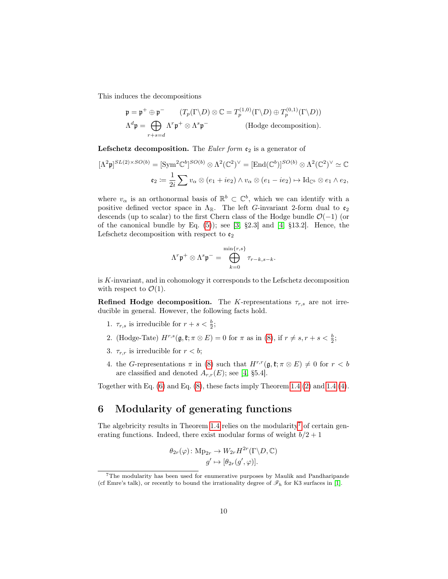This induces the decompositions

$$
\mathfrak{p} = \mathfrak{p}^+ \oplus \mathfrak{p}^- \qquad (T_p(\Gamma \backslash D) \otimes \mathbb{C} = T_p^{(1,0)}(\Gamma \backslash D) \oplus T_p^{(0,1)}(\Gamma \backslash D))
$$
  

$$
\Lambda^d \mathfrak{p} = \bigoplus_{r+s=d} \Lambda^r \mathfrak{p}^+ \otimes \Lambda^s \mathfrak{p}^- \qquad \text{(Hodge decomposition)}.
$$

**Lefschetz decomposition.** The *Euler form*  $\mathfrak{e}_2$  is a generator of

$$
[\Lambda^2 \mathfrak{p}]^{SL(2)\times SO(b)} = [\text{Sym}^2 \mathbb{C}^b]^{SO(b)} \otimes \Lambda^2 (\mathbb{C}^2)^\vee = [\text{End}(\mathbb{C}^b)]^{SO(b)} \otimes \Lambda^2 (\mathbb{C}^2)^\vee \simeq \mathbb{C}
$$
  

$$
\mathfrak{e}_2 := \frac{1}{2i} \sum v_\alpha \otimes (e_1 + ie_2) \wedge v_\alpha \otimes (e_1 - ie_2) \mapsto \text{Id}_{\mathbb{C}^b} \otimes e_1 \wedge e_2,
$$

where  $v_{\alpha}$  is an orthonormal basis of  $\mathbb{R}^b \subset \mathbb{C}^b$ , which we can identify with a positive defined vector space in  $\Lambda_{\mathbb{R}}$ . The left *G*-invariant 2-form dual to  $\mathfrak{e}_2$ descends (up to scalar) to the first Chern class of the Hodge bundle  $\mathcal{O}(-1)$  (or of the canonical bundle by Eq.  $(5)$ ; see  $[3, §2.3]$  $[3, §2.3]$  and  $[4, §13.2]$  $[4, §13.2]$ . Hence, the Lefschetz decomposition with respect to  $\mathfrak{e}_2$ 

$$
\Lambda^r \mathfrak{p}^+ \otimes \Lambda^s \mathfrak{p}^- = \bigoplus_{k=0}^{\min\{r,s\}} \tau_{r-k,s-k}.
$$

is K-invariant, and in cohomology it corresponds to the Lefschetz decomposition with respect to  $\mathcal{O}(1)$ .

**Refined Hodge decomposition.** The K-representations  $\tau_{r,s}$  are not irreducible in general. However, the following facts hold.

- 1.  $\tau_{r,s}$  is irreducible for  $r + s < \frac{b}{2}$ ;
- 2. (Hodge-Tate)  $H^{r,s}(\mathfrak{g}, \mathfrak{k}; \pi \otimes E) = 0$  for  $\pi$  as in [\(8\)](#page-8-3), if  $r \neq s, r + s < \frac{b}{2}$ ;
- 3.  $\tau_{r,r}$  is irreducible for  $r < b$ ;
- 4. the G-representations  $\pi$  in [\(8\)](#page-8-3) such that  $H^{r,r}(\mathfrak{g},\mathfrak{k};\pi\otimes E)\neq 0$  for  $r < b$ are classified and denoted  $A_{r,r}(E)$ ; see [\[4,](#page-11-9) §5.4].

Together with Eq. [\(6\)](#page-6-1) and Eq. [\(8\)](#page-8-3), these facts imply Theorem [1.4.](#page-1-2)[\(2\)](#page-2-3) and [1.4.](#page-1-2)[\(4\)](#page-2-1).

## 6 Modularity of generating functions

The algebricity results in Theorem [1.4](#page-1-2) relies on the modularity<sup>[7](#page-9-0)</sup> of certain generating functions. Indeed, there exist modular forms of weight  $b/2 + 1$ 

$$
\theta_{2r}(\varphi) \colon \mathcal{M}_{p_{2r}} \to W_{2r} H^{2r}(\Gamma \backslash D, \mathbb{C})
$$

$$
g' \mapsto [\theta_{2r}(g', \varphi)].
$$

<span id="page-9-0"></span><sup>7</sup>The modularity has been used for enumerative purposes by Maulik and Pandharipande (cf Emre's talk), or recently to bound the irrationality degree of  $\mathscr{F}_h$  for K3 surfaces in [\[1\]](#page-11-10).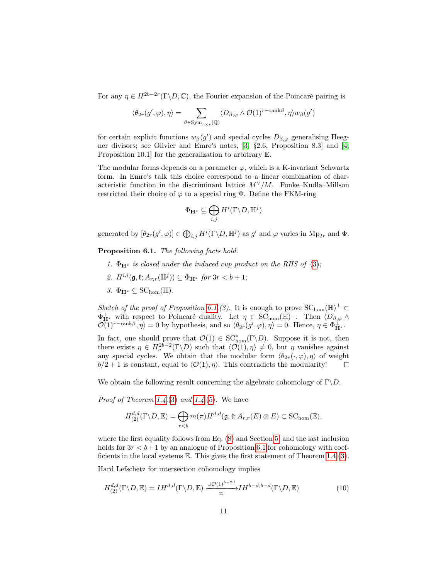For any  $\eta \in H^{2b-2r}(\Gamma \backslash D, \mathbb{C})$ , the Fourier expansion of the Poincaré pairing is

$$
\langle \theta_{2r}(g',\varphi),\eta \rangle = \sum_{\beta \in \mathrm{Sym}_{r \times r}({\mathbb Q})} \langle D_{\beta,\varphi} \wedge {\mathcal O}(1)^{r-\mathrm{rank} \beta}, \eta \rangle w_{\beta}(g')
$$

for certain explicit functions  $w_{\beta}(g')$  and special cycles  $D_{\beta,\varphi}$  generalising Heegner divisors; see Olivier and Emre's notes, [\[3,](#page-11-8) §2.6, Proposition 8.3] and [\[4,](#page-11-9) Proposition 10.1] for the generalization to arbitrary E.

The modular forms depends on a parameter  $\varphi$ , which is a K-invariant Schwartz form. In Emre's talk this choice correspond to a linear combination of characteristic function in the discriminant lattice  $M^{\vee}/M$ . Funke–Kudla–Millson restricted their choice of  $\varphi$  to a special ring  $\Phi$ . Define the FKM-ring

$$
\Phi_{\mathbf{H}^*}\subseteq \bigoplus_{i,j} H^i(\Gamma\backslash D,\mathbb{H}^j)
$$

generated by  $[\theta_{2r}(g', \varphi)] \in \bigoplus_{i,j} H^i(\Gamma \backslash D, \mathbb{H}^j)$  as  $g'$  and  $\varphi$  varies in  $Mp_{2r}$  and  $\Phi$ .

<span id="page-10-0"></span>Proposition 6.1. The following facts hold.

- 1.  $\Phi_{H^*}$  is closed under the induced cup product on the RHS of [\(3\)](#page-1-3);
- 2.  $H^{i,i}(\mathfrak{g},\mathfrak{k};A_{r,r}(\mathbb{H}^j))\subseteq \Phi_{\mathbf{H}^*}$  for  $3r < b+1$ ;
- 3.  $\Phi_{\mathbf{H}^*} \subset \mathrm{SC}_{\mathrm{hom}}(\mathbb{H}).$

Sketch of the proof of Proposition [6.1.](#page-10-0)(3). It is enough to prove  $SC_{\text{hom}}(\mathbb{H})^{\perp} \subset$  $\Phi_{\mathbf{H}^*}^{\perp}$  with respect to Poincaré duality. Let  $\eta \in \widetilde{\mathrm{SC}}_{\mathrm{hom}}(\mathbb{H})^{\perp}$ . Then  $\langle D_{\beta,\varphi} \wedge$  $\mathcal{O}(1)^{r-\text{rank}\beta}, \eta \rangle = 0$  by hypothesis, and so  $\langle \theta_{2r}(g', \varphi), \eta \rangle = 0$ . Hence,  $\eta \in \Phi_{\mathbf{H}^*}^{\perp}$ .

In fact, one should prove that  $\mathcal{O}(1) \in SC^*_{\text{hom}}(\Gamma \backslash D)$ . Suppose it is not, then there exists  $\eta \in H_c^{2b-2}(\Gamma \backslash D)$  such that  $\langle \mathcal{O}(1), \eta \rangle \neq 0$ , but  $\eta$  vanishes against any special cycles. We obtain that the modular form  $\langle \theta_{2r}(\cdot,\varphi), \eta \rangle$  of weight  $b/2 + 1$  is constant, equal to  $\langle \mathcal{O}(1), \eta \rangle$ . This contradicts the modularity!  $\Box$ 

We obtain the following result concerning the algebraic cohomology of  $\Gamma \backslash D$ .

*Proof of Theorem [1.4.](#page-1-2)*[\(3\)](#page-2-0) and 1.4.[\(5\)](#page-2-5). We have

<span id="page-10-1"></span>
$$
H_{(2)}^{d,d}(\Gamma \backslash D, \mathbb{E}) = \bigoplus_{r
$$

where the first equality follows from Eq. [\(8\)](#page-8-3) and Section [5,](#page-8-4) and the last inclusion holds for  $3r < b+1$  by an analogue of Proposition [6.1](#page-10-0) for cohomology with coefficients in the local systems  $\mathbb E$ . This gives the first statement of Theorem [1.4.](#page-1-2)[\(3\)](#page-2-0).

Hard Lefschetz for intersection cohomology implies

$$
H_{(2)}^{d,d}(\Gamma \backslash D, \mathbb{E}) = IH^{d,d}(\Gamma \backslash D, \mathbb{E}) \xrightarrow{\cup \mathcal{O}(1)^{b-2d}} IH^{b-d,b-d}(\Gamma \backslash D, \mathbb{E})
$$
(10)